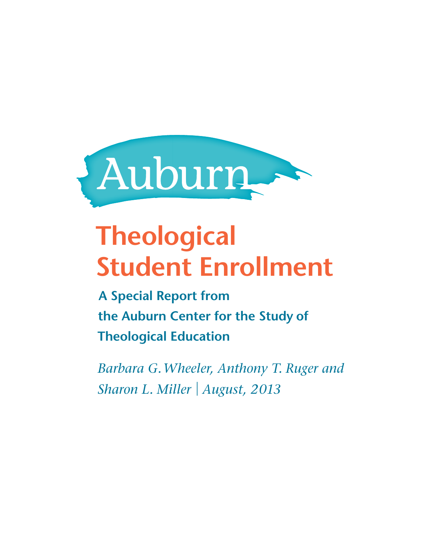

# **Theological Student Enrollment**

 **A Special Report from the Auburn Center for the Study of Theological Education**

 *Barbara G. Wheeler, Anthony T. Ruger and Sharon L. Miller* |  *August, 2013*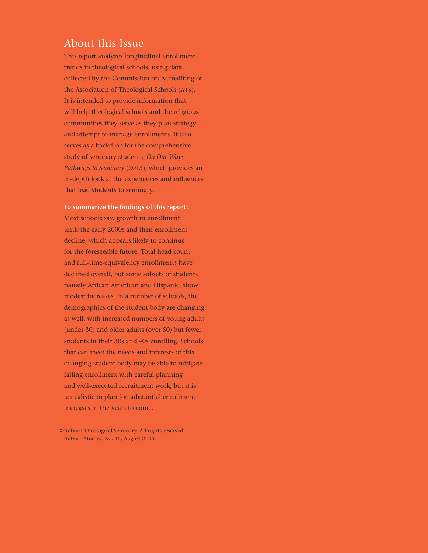### About this Issue

This report analyzes longitudinal enrollment trends in theological schools, using data collected by the Commission on Accrediting of the Association of Theological Schools (ATS). It is intended to provide information that will help theological schools and the religious communities they serve as they plan strategy and attempt to manage enrollments. It also serves as a backdrop for the comprehensive study of seminary students, *On Our Way: Pathways to Seminary* (2013), which provides an in-depth look at the experiences and influences that lead students to seminary.

**To summarize the findings of this report:** Most schools saw growth in enrollment until the early 2000s and then enrollment decline, which appears likely to continue for the foreseeable future. Total head count and full-time-equivalency enrollments have declined overall, but some subsets of students, namely African American and Hispanic, show modest increases. In a number of schools, the demographics of the student body are changing as well, with increased numbers of young adults (under 30) and older adults (over 50) but fewer students in their 30s and 40s enrolling. Schools that can meet the needs and interests of this changing student body may be able to mitigate falling enrollment with careful planning and well-executed recruitment work, but it is unrealistic to plan for substantial enrollment increases in the years to come.

©Auburn Theological Seminary, All rights reserved. Auburn Studies, No. 16, August 2013.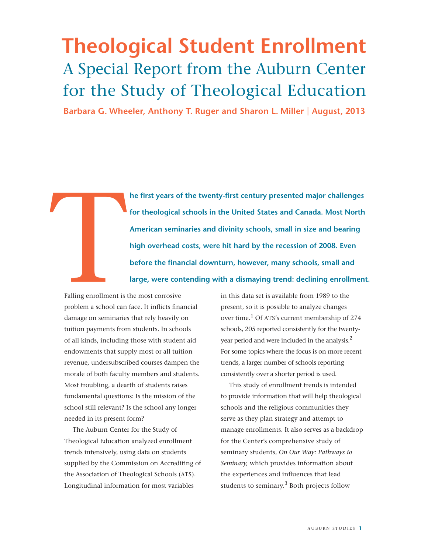# **Theological Student Enrollment** A Special Report from the Auburn Center for the Study of Theological Education

 **Barbara G. Wheeler, Anthony T. Ruger and Sharon L. Miller** | **August, 2013**

**he first years of the twenty-first century presented major challenges for theological schools in the United States and Canada. Most North American seminaries and divinity schools, small in size and bearing high overhead costs, were hit hard by the recession of 2008. Even before the financial downturn, however, many schools, small and large, were contending with a dismaying trend: declining enrollment.** 

Falling enrollment is<br>problem a school can Falling enrollment is the most corrosive problem a school can face. It inflicts financial damage on seminaries that rely heavily on tuition payments from students. In schools of all kinds, including those with student aid endowments that supply most or all tuition revenue, undersubscribed courses dampen the morale of both faculty members and students. Most troubling, a dearth of students raises fundamental questions: Is the mission of the school still relevant? Is the school any longer needed in its present form?

The Auburn Center for the Study of Theological Education analyzed enrollment trends intensively, using data on students supplied by the Commission on Accrediting of the Association of Theological Schools (ATS). Longitudinal information for most variables

in this data set is available from 1989 to the present, so it is possible to analyze changes over time.<sup>1</sup> Of ATS's current membership of 274 schools, 205 reported consistently for the twentyyear period and were included in the analysis.<sup>2</sup> For some topics where the focus is on more recent trends, a larger number of schools reporting consistently over a shorter period is used.

This study of enrollment trends is intended to provide information that will help theological schools and the religious communities they serve as they plan strategy and attempt to manage enrollments. It also serves as a backdrop for the Center's comprehensive study of seminary students, *On Our Way: Pathways to Seminary,* which provides information about the experiences and influences that lead students to seminary.<sup>3</sup> Both projects follow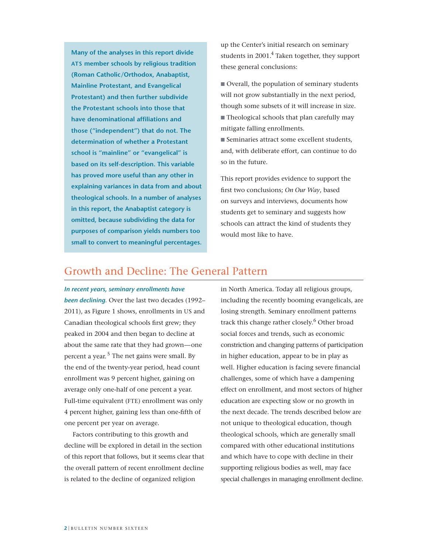**Many of the analyses in this report divide ATS member schools by religious tradition (Roman Catholic/Orthodox, Anabaptist, Mainline Protestant, and Evangelical Protestant) and then further subdivide the Protestant schools into those that have denominational affiliations and those ("independent") that do not. The determination of whether a Protestant school is "mainline" or "evangelical" is based on its self-description. This variable has proved more useful than any other in explaining variances in data from and about theological schools. In a number of analyses in this report, the Anabaptist category is omitted, because subdividing the data for purposes of comparison yields numbers too small to convert to meaningful percentages.**

up the Center's initial research on seminary students in 2001. $^{4}$  Taken together, they support these general conclusions:

Overall, the population of seminary students will not grow substantially in the next period, though some subsets of it will increase in size. Theological schools that plan carefully may mitigate falling enrollments.

 $\blacksquare$  Seminaries attract some excellent students, and, with deliberate effort, can continue to do so in the future.

This report provides evidence to support the first two conclusions; *On Our Way*, based on surveys and interviews, documents how students get to seminary and suggests how schools can attract the kind of students they would most like to have.

### Growth and Decline: The General Pattern

### *In recent years, seminary enrollments have*

*been declining.* Over the last two decades (1992– 2011), as Figure 1 shows, enrollments in US and Canadian theological schools first grew; they peaked in 2004 and then began to decline at about the same rate that they had grown—one percent a year.<sup>5</sup> The net gains were small. By the end of the twenty-year period, head count enrollment was 9 percent higher, gaining on average only one-half of one percent a year. Full-time equivalent (FTE) enrollment was only 4 percent higher, gaining less than one-fifth of one percent per year on average.

Factors contributing to this growth and decline will be explored in detail in the section of this report that follows, but it seems clear that the overall pattern of recent enrollment decline is related to the decline of organized religion

in North America. Today all religious groups, including the recently booming evangelicals, are losing strength. Seminary enrollment patterns track this change rather closely.<sup>6</sup> Other broad social forces and trends, such as economic constriction and changing patterns of participation in higher education, appear to be in play as well. Higher education is facing severe financial challenges, some of which have a dampening effect on enrollment, and most sectors of higher education are expecting slow or no growth in the next decade. The trends described below are not unique to theological education, though theological schools, which are generally small compared with other educational institutions and which have to cope with decline in their supporting religious bodies as well, may face special challenges in managing enrollment decline.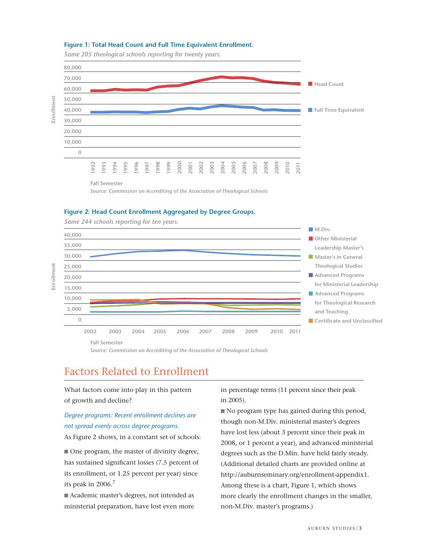### **Figure 1: Total Head Count and Full Time Equivalent Enrollment.**

*Same 205 theological schools reporting for twenty years.*



*Source: Commission on Accrediting of the Association of Theological Schools*

### **Figure 2: Head Count Enrollment Aggregated by Degree Groups.**

*Same 244 schools reporting for ten years.*

**Enrollment**

**Enrollment**



*Source: Commission on Accrediting of the Association of Theological Schools*

# Factors Related to Enrollment

What factors come into play in this pattern of growth and decline?

### *Degree programs: Recent enrollment declines are not spread evenly across degree programs.*

As Figure 2 shows, in a constant set of schools:

 $\blacksquare$  One program, the master of divinity degree, has sustained significant losses (7.5 percent of its enrollment, or 1.25 percent per year) since its peak in 2006.<sup>7</sup>

Academic master's degrees, not intended as ministerial preparation, have lost even more in percentage terms (11 percent since their peak in 2005).

No program type has gained during this period, though non-M.Div. ministerial master's degrees have lost less (about 3 percent since their peak in 2008, or 1 percent a year), and advanced ministerial degrees such as the D.Min. have held fairly steady. (Additional detailed charts are provided online at http://auburnseminary.org/enrollment-appendix1. Among these is a chart, Figure 1, which shows more clearly the enrollment changes in the smaller, non-M.Div. master's programs.)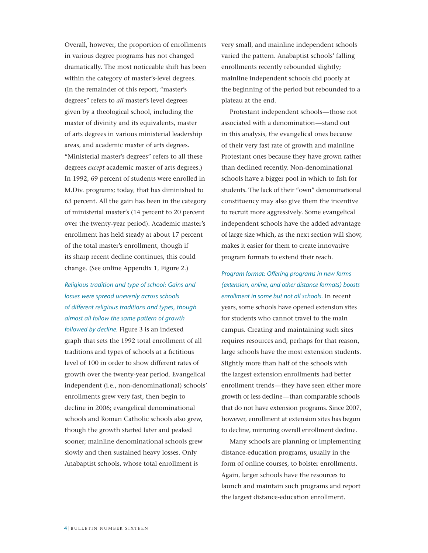Overall, however, the proportion of enrollments in various degree programs has not changed dramatically. The most noticeable shift has been within the category of master's-level degrees. (In the remainder of this report, "master's degrees" refers to *all* master's level degrees given by a theological school, including the master of divinity and its equivalents, master of arts degrees in various ministerial leadership areas, and academic master of arts degrees. "Ministerial master's degrees" refers to all these degrees *except* academic master of arts degrees.) In 1992, 69 percent of students were enrolled in M.Div. programs; today, that has diminished to 63 percent. All the gain has been in the category of ministerial master's (14 percent to 20 percent over the twenty-year period). Academic master's enrollment has held steady at about 17 percent of the total master's enrollment, though if its sharp recent decline continues, this could change. (See online Appendix 1, Figure 2.)

*Religious tradition and type of school: Gains and losses were spread unevenly across schools of di!erent religious traditions and types, though almost all follow the same pattern of growth followed by decline.* Figure 3 is an indexed graph that sets the 1992 total enrollment of all traditions and types of schools at a fictitious level of 100 in order to show different rates of growth over the twenty-year period. Evangelical independent (i.e., non-denominational) schools' enrollments grew very fast, then begin to decline in 2006; evangelical denominational schools and Roman Catholic schools also grew, though the growth started later and peaked sooner; mainline denominational schools grew slowly and then sustained heavy losses. Only Anabaptist schools, whose total enrollment is

very small, and mainline independent schools varied the pattern. Anabaptist schools' falling enrollments recently rebounded slightly; mainline independent schools did poorly at the beginning of the period but rebounded to a plateau at the end.

Protestant independent schools—those not associated with a denomination—stand out in this analysis, the evangelical ones because of their very fast rate of growth and mainline Protestant ones because they have grown rather than declined recently. Non-denominational schools have a bigger pool in which to fish for students. The lack of their "own" denominational constituency may also give them the incentive to recruit more aggressively. Some evangelical independent schools have the added advantage of large size which, as the next section will show, makes it easier for them to create innovative program formats to extend their reach.

*Program format: Offering programs in new forms (extension, online, and other distance formats) boosts enrollment in some but not all schools.* In recent years, some schools have opened extension sites for students who cannot travel to the main campus. Creating and maintaining such sites requires resources and, perhaps for that reason, large schools have the most extension students. Slightly more than half of the schools with the largest extension enrollments had better enrollment trends—they have seen either more growth or less decline—than comparable schools that do not have extension programs. Since 2007, however, enrollment at extension sites has begun to decline, mirroring overall enrollment decline.

Many schools are planning or implementing distance-education programs, usually in the form of online courses, to bolster enrollments. Again, larger schools have the resources to launch and maintain such programs and report the largest distance-education enrollment.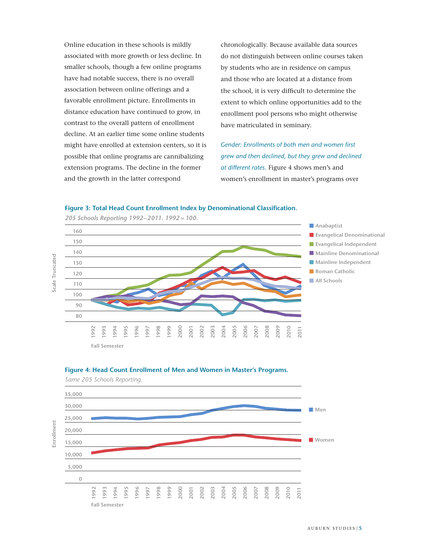Online education in these schools is mildly associated with more growth or less decline. In smaller schools, though a few online programs have had notable success, there is no overall association between online offerings and a favorable enrollment picture. Enrollments in distance education have continued to grow, in contrast to the overall pattern of enrollment decline. At an earlier time some online students might have enrolled at extension centers, so it is possible that online programs are cannibalizing extension programs. The decline in the former and the growth in the latter correspond

chronologically. Because available data sources do not distinguish between online courses taken by students who are in residence on campus and those who are located at a distance from the school, it is very difficult to determine the extent to which online opportunities add to the enrollment pool persons who might otherwise have matriculated in seminary.

*Gender: Enrollments of both men and women first grew and then declined, but they grew and declined at different rates.* Figure 4 shows men's and women's enrollment in master's programs over

#### **Figure 3: Total Head Count Enrollment Index by Denominational Classification.**







*Same 205 Schools Reporting.*

**Enrollment**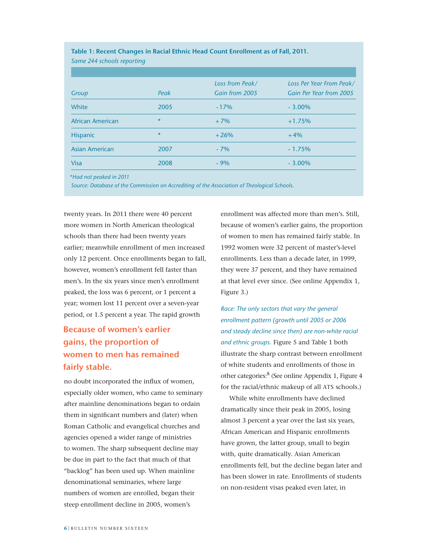| Same 244 schools reporting |         |                 |                          |
|----------------------------|---------|-----------------|--------------------------|
|                            |         |                 |                          |
|                            |         | Loss from Peak/ | Loss Per Year From Peak/ |
| Group                      | Peak    | Gain from 2005  | Gain Per Year from 2005  |
| White                      | 2005    | $-17%$          | $-3.00\%$                |
| African American           | $\star$ | $+7%$           | $+1.75%$                 |
| <b>Hispanic</b>            | $\ast$  | $+26%$          | $+4%$                    |
| <b>Asian American</b>      | 2007    | $-7%$           | $-1.75%$                 |
| <b>Visa</b>                | 2008    | $-9%$           | $-3.00\%$                |

**Table 1: Recent Changes in Racial Ethnic Head Count Enrollment as of Fall, 2011.**

 *\*Had not peaked in 2011*

*Source: Database of the Commission on Accrediting of the Association of Theological Schools.*

twenty years. In 2011 there were 40 percent more women in North American theological schools than there had been twenty years earlier; meanwhile enrollment of men increased only 12 percent. Once enrollments began to fall, however, women's enrollment fell faster than men's. In the six years since men's enrollment peaked, the loss was 6 percent, or 1 percent a year; women lost 11 percent over a seven-year period, or 1.5 percent a year. The rapid growth

# **Because of women's earlier gains, the proportion of women to men has remained fairly stable.**

no doubt incorporated the influx of women, especially older women, who came to seminary after mainline denominations began to ordain them in significant numbers and (later) when Roman Catholic and evangelical churches and agencies opened a wider range of ministries to women. The sharp subsequent decline may be due in part to the fact that much of that "backlog" has been used up. When mainline denominational seminaries, where large numbers of women are enrolled, began their steep enrollment decline in 2005, women's

enrollment was affected more than men's. Still, because of women's earlier gains, the proportion of women to men has remained fairly stable. In 1992 women were 32 percent of master's-level enrollments. Less than a decade later, in 1999, they were 37 percent, and they have remained at that level ever since. (See online Appendix 1, Figure 3.)

*Race: The only sectors that vary the general enrollment pattern (growth until 2005 or 2006 and steady decline since then) are non-white racial and ethnic groups.* Figure 5 and Table 1 both illustrate the sharp contrast between enrollment of white students and enrollments of those in other categories:<sup>8</sup> (See online Appendix 1, Figure 4 for the racial/ethnic makeup of all ATS schools.)

While white enrollments have declined dramatically since their peak in 2005, losing almost 3 percent a year over the last six years, African American and Hispanic enrollments have grown, the latter group, small to begin with, quite dramatically. Asian American enrollments fell, but the decline began later and has been slower in rate. Enrollments of students on non-resident visas peaked even later, in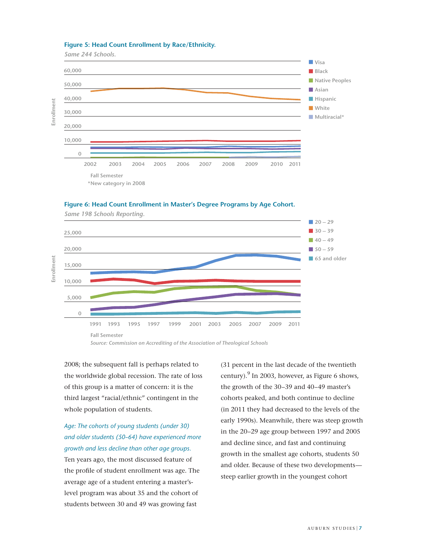### **Figure 5: Head Count Enrollment by Race/Ethnicity.**

*Same 244 Schools.*

*Same 198 Schools Reporting.*



### **Figure 6: Head Count Enrollment in Master's Degree Programs by Age Cohort.**



*Source: Commission on Accrediting of the Association of Theological Schools*

2008; the subsequent fall is perhaps related to the worldwide global recession. The rate of loss

of this group is a matter of concern: it is the third largest "racial/ethnic" contingent in the whole population of students.

*Age: The cohorts of young students (under 30) and older students (50–64) have experienced more growth and less decline than other age groups.*  Ten years ago, the most discussed feature of the profile of student enrollment was age. The average age of a student entering a master'slevel program was about 35 and the cohort of students between 30 and 49 was growing fast

(31 percent in the last decade of the twentieth century). $9 \text{ In } 2003$ , however, as Figure 6 shows, the growth of the 30–39 and 40–49 master's cohorts peaked, and both continue to decline (in 2011 they had decreased to the levels of the early 1990s). Meanwhile, there was steep growth in the 20–29 age group between 1997 and 2005 and decline since, and fast and continuing growth in the smallest age cohorts, students 50 and older. Because of these two developments steep earlier growth in the youngest cohort

**Enrollment**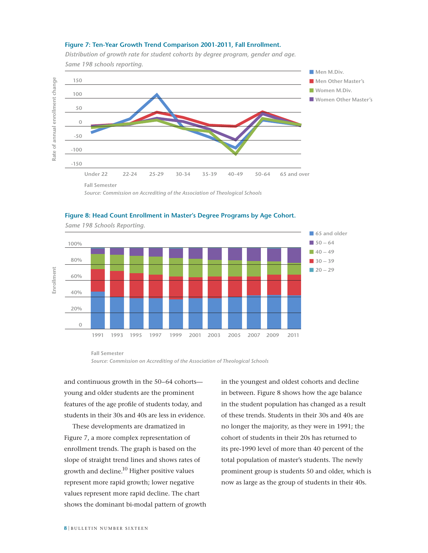### **Figure 7: Ten-Year Growth Trend Comparison 2001-2011, Fall Enrollment.**



*Distribution of growth rate for student cohorts by degree program, gender and age.* 

# *Source: Commission on Accrediting of the Association of Theological Schools*



### **Figure 8: Head Count Enrollment in Master's Degree Programs by Age Cohort.**

**Fall Semester**

*Source: Commission on Accrediting of the Association of Theological Schools*

and continuous growth in the 50–64 cohorts young and older students are the prominent features of the age profile of students today, and students in their 30s and 40s are less in evidence.

These developments are dramatized in Figure 7, a more complex representation of enrollment trends. The graph is based on the slope of straight trend lines and shows rates of growth and decline.<sup>10</sup> Higher positive values represent more rapid growth; lower negative values represent more rapid decline. The chart shows the dominant bi-modal pattern of growth in the youngest and oldest cohorts and decline in between. Figure 8 shows how the age balance in the student population has changed as a result of these trends. Students in their 30s and 40s are no longer the majority, as they were in 1991; the cohort of students in their 20s has returned to its pre-1990 level of more than 40 percent of the total population of master's students. The newly prominent group is students 50 and older, which is now as large as the group of students in their 40s.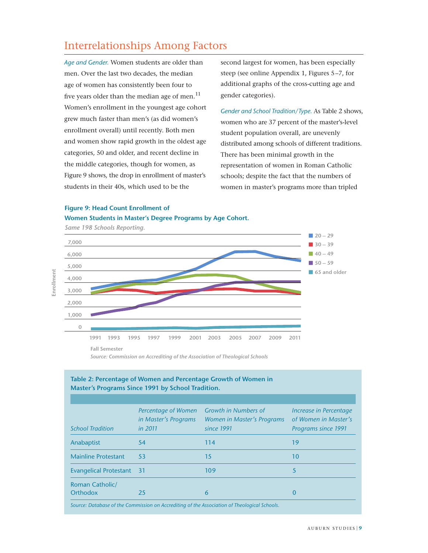# Interrelationships Among Factors

*Age and Gender.* Women students are older than men. Over the last two decades, the median age of women has consistently been four to five years older than the median age of men. $^{11}$ Women's enrollment in the youngest age cohort grew much faster than men's (as did women's enrollment overall) until recently. Both men and women show rapid growth in the oldest age categories, 50 and older, and recent decline in the middle categories, though for women, as Figure 9 shows, the drop in enrollment of master's students in their 40s, which used to be the

second largest for women, has been especially steep (see online Appendix 1, Figures 5–7, for additional graphs of the cross-cutting age and gender categories).

*Gender and School Tradition/Type.* As Table 2 shows, women who are 37 percent of the master's-level student population overall, are unevenly distributed among schools of different traditions. There has been minimal growth in the representation of women in Roman Catholic schools; despite the fact that the numbers of women in master's programs more than tripled

# **Figure 9: Head Count Enrollment of**

**Women Students in Master's Degree Programs by Age Cohort.** 



### **Table 2: Percentage of Women and Percentage Growth of Women in Master's Programs Since 1991 by School Tradition.**

| <b>School Tradition</b>            | Percentage of Women<br>in Master's Programs<br>in 2011 | Growth in Numbers of<br>Women in Master's Programs<br>since 1991                             | Increase in Percentage<br>of Women in Master's<br><b>Programs since 1991</b> |
|------------------------------------|--------------------------------------------------------|----------------------------------------------------------------------------------------------|------------------------------------------------------------------------------|
| Anabaptist                         | 54                                                     | 114                                                                                          | 19                                                                           |
| <b>Mainline Protestant</b>         | 53                                                     | 15                                                                                           | 10                                                                           |
| <b>Evangelical Protestant 31</b>   |                                                        | 109                                                                                          | 5                                                                            |
| <b>Roman Catholic/</b><br>Orthodox | 25                                                     | 6                                                                                            | 0                                                                            |
|                                    |                                                        | Source: Database of the Commission on Accrediting of the Association of Theological Schools. |                                                                              |

*Source: Commission on Accrediting of the Association of Theological Schools*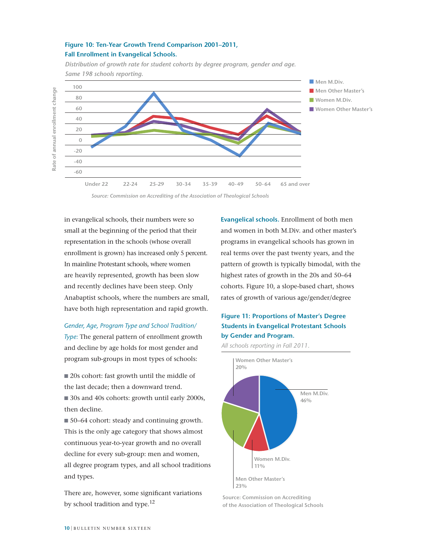### **Figure 10: Ten-Year Growth Trend Comparison 2001–2011, Fall Enrollment in Evangelical Schools.**



*Distribution of growth rate for student cohorts by degree program, gender and age. Same 198 schools reporting.* 



in evangelical schools, their numbers were so small at the beginning of the period that their representation in the schools (whose overall enrollment is grown) has increased only 5 percent. In mainline Protestant schools, where women are heavily represented, growth has been slow and recently declines have been steep. Only Anabaptist schools, where the numbers are small, have both high representation and rapid growth.

### *Gender, Age, Program Type and School Tradition/*

*Type:* The general pattern of enrollment growth and decline by age holds for most gender and program sub-groups in most types of schools:

 $\blacksquare$  20s cohort: fast growth until the middle of the last decade; then a downward trend.

30s and 40s cohorts: growth until early 2000s, then decline.

■ 50–64 cohort: steady and continuing growth. This is the only age category that shows almost continuous year-to-year growth and no overall decline for every sub-group: men and women, all degree program types, and all school traditions and types.

There are, however, some significant variations by school tradition and type.<sup>12</sup>

**Evangelical schools.** Enrollment of both men and women in both M.Div. and other master's programs in evangelical schools has grown in real terms over the past twenty years, and the pattern of growth is typically bimodal, with the highest rates of growth in the 20s and 50–64 cohorts. Figure 10, a slope-based chart, shows rates of growth of various age/gender/degree

### **Figure 11: Proportions of Master's Degree Students in Evangelical Protestant Schools by Gender and Program.**

*All schools reporting in Fall 2011.*



**Source: Commission on Accrediting of the Association of Theological Schools**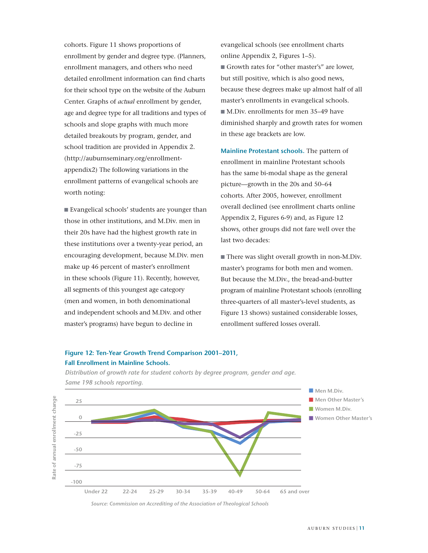cohorts. Figure 11 shows proportions of enrollment by gender and degree type. (Planners, enrollment managers, and others who need detailed enrollment information can find charts for their school type on the website of the Auburn Center. Graphs of *actual* enrollment by gender, age and degree type for all traditions and types of schools and slope graphs with much more detailed breakouts by program, gender, and school tradition are provided in Appendix 2. (http://auburnseminary.org/enrollmentappendix2) The following variations in the enrollment patterns of evangelical schools are worth noting:

Evangelical schools' students are younger than those in other institutions, and M.Div. men in their 20s have had the highest growth rate in these institutions over a twenty-year period, an encouraging development, because M.Div. men make up 46 percent of master's enrollment in these schools (Figure 11). Recently, however, all segments of this youngest age category (men and women, in both denominational and independent schools and M.Div. and other master's programs) have begun to decline in

evangelical schools (see enrollment charts online Appendix 2, Figures 1–5). Growth rates for "other master's" are lower, but still positive, which is also good news, because these degrees make up almost half of all master's enrollments in evangelical schools. ■ M.Div. enrollments for men 35–49 have diminished sharply and growth rates for women in these age brackets are low.

**Mainline Protestant schools.** The pattern of enrollment in mainline Protestant schools has the same bi-modal shape as the general picture—growth in the 20s and 50–64 cohorts. After 2005, however, enrollment overall declined (see enrollment charts online Appendix 2, Figures 6-9) and, as Figure 12 shows, other groups did not fare well over the last two decades:

There was slight overall growth in non-M.Div. master's programs for both men and women. But because the M.Div., the bread-and-butter program of mainline Protestant schools (enrolling three-quarters of all master's-level students, as Figure 13 shows) sustained considerable losses, enrollment suffered losses overall.

### **Figure 12: Ten-Year Growth Trend Comparison 2001–2011, Fall Enrollment in Mainline Schools.**



*Distribution of growth rate for student cohorts by degree program, gender and age. Same 198 schools reporting.* 

*Source: Commission on Accrediting of the Association of Theological Schools*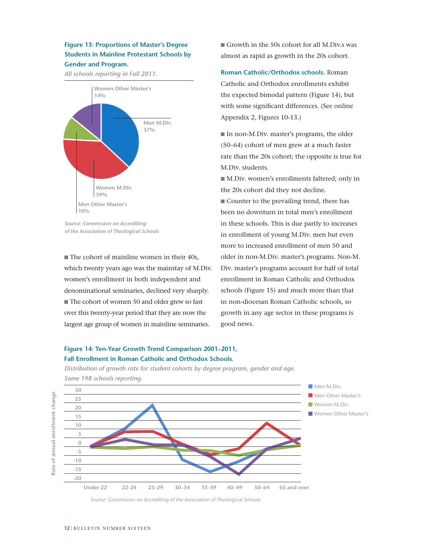### **Figure 13: Proportions of Master's Degree Students in Mainline Protestant Schools by Gender and Program.**

*All schools reporting in Fall 2011.*



*Source: Commission on Accrediting of the Association of Theological Schools*

 $\blacksquare$  The cohort of mainline women in their 40s, which twenty years ago was the mainstay of M.Div. women's enrollment in both independent and denominational seminaries, declined very sharply.  $\blacksquare$  The cohort of women 50 and older grew so fast over this twenty-year period that they are now the largest age group of women in mainline seminaries.

Growth in the 50s cohort for all M.Div.s was almost as rapid as growth in the 20s cohort.

**Roman Catholic/Orthodox schools.** Roman Catholic and Orthodox enrollments exhibit the expected bimodal pattern (Figure 14), but with some significant differences. (See online Appendix 2, Figures 10-13.)

In non-M.Div. master's programs, the older (50–64) cohort of men grew at a much faster rate than the 20s cohort; the opposite is true for M.Div. students.

 $\blacksquare$  M.Div. women's enrollments faltered; only in the 20s cohort did they not decline.

 $\blacksquare$  Counter to the prevailing trend, there has been no downturn in total men's enrollment in these schools. This is due partly to increases in enrollment of young M.Div. men but even more to increased enrollment of men 50 and older in non-M.Div. master's programs. Non-M. Div. master's programs account for half of total enrollment in Roman Catholic and Orthodox schools (Figure 15) and much more than that in non-diocesan Roman Catholic schools, so growth in any age sector in these programs is good news.

### **Figure 14: Ten-Year Growth Trend Comparison 2001–2011, Fall Enrollment in Roman Catholic and Orthodox Schools.**

*Distribution of growth rate for student cohorts by degree program, gender and age. Same 198 schools reporting.* 



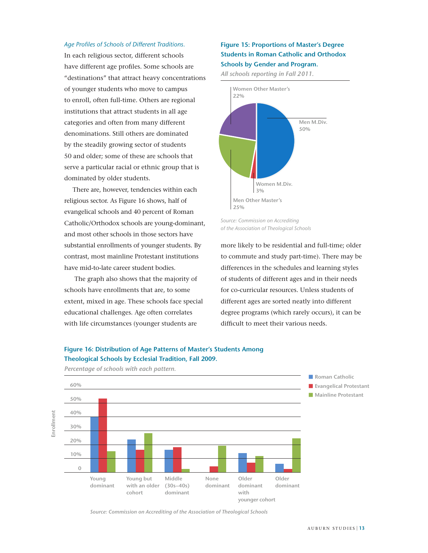### Age Profiles of Schools of Different Traditions.

In each religious sector, different schools have different age profiles. Some schools are "destinations" that attract heavy concentrations of younger students who move to campus to enroll, often full-time. Others are regional institutions that attract students in all age categories and often from many different denominations. Still others are dominated by the steadily growing sector of students 50 and older; some of these are schools that serve a particular racial or ethnic group that is dominated by older students.

There are, however, tendencies within each religious sector. As Figure 16 shows, half of evangelical schools and 40 percent of Roman Catholic/Orthodox schools are young-dominant, and most other schools in those sectors have substantial enrollments of younger students. By contrast, most mainline Protestant institutions have mid-to-late career student bodies.

 The graph also shows that the majority of schools have enrollments that are, to some extent, mixed in age. These schools face special educational challenges. Age often correlates with life circumstances (younger students are

### **Figure 15: Proportions of Master's Degree Students in Roman Catholic and Orthodox Schools by Gender and Program.**

*All schools reporting in Fall 2011.*



*Source: Commission on Accrediting of the Association of Theological Schools*

more likely to be residential and full-time; older to commute and study part-time). There may be differences in the schedules and learning styles of students of different ages and in their needs for co-curricular resources. Unless students of different ages are sorted neatly into different degree programs (which rarely occurs), it can be difficult to meet their various needs.



 **younger cohort**

# **Figure 16: Distribution of Age Patterns of Master's Students Among**

*Source: Commission on Accrediting of the Association of Theological Schools*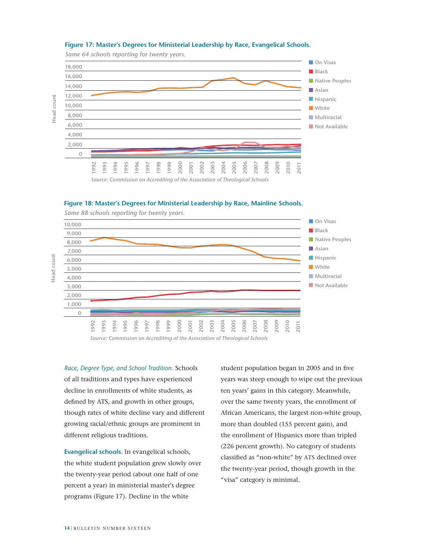





### **Figure 18: Master's Degrees for Ministerial Leadership by Race, Mainline Schools.**



*Same 88 schools reporting for twenty years.*

*Source: Commission on Accrediting of the Association of Theological Schools*

*Race, Degree Type, and School Tradition.* Schools of all traditions and types have experienced decline in enrollments of white students, as defined by ATS, and growth in other groups, though rates of white decline vary and different growing racial/ethnic groups are prominent in different religious traditions.

**Evangelical schools.** In evangelical schools, the white student population grew slowly over the twenty-year period (about one half of one percent a year) in ministerial master's degree programs (Figure 17). Decline in the white

student population began in 2005 and in five years was steep enough to wipe out the previous ten years' gains in this category. Meanwhile, over the same twenty years, the enrollment of African Americans, the largest non-white group, more than doubled (155 percent gain), and the enrollment of Hispanics more than tripled (226 percent growth). No category of students classified as "non-white" by ATS declined over the twenty-year period, though growth in the "visa" category is minimal.

**Head count**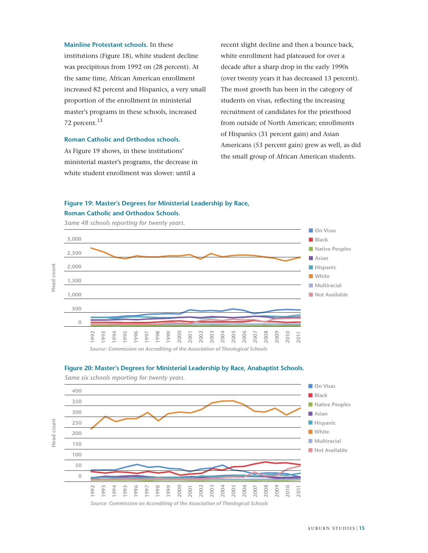**Mainline Protestant schools.** In these institutions (Figure 18), white student decline was precipitous from 1992 on (28 percent). At the same time, African American enrollment increased 82 percent and Hispanics, a very small proportion of the enrollment in ministerial master's programs in these schools, increased 72 percent.<sup>13</sup>

### **Roman Catholic and Orthodox schools.**

As Figure 19 shows, in these institutions' ministerial master's programs, the decrease in white student enrollment was slower: until a

recent slight decline and then a bounce back, white enrollment had plateaued for over a decade after a sharp drop in the early 1990s (over twenty years it has decreased 13 percent). The most growth has been in the category of students on visas, reflecting the increasing recruitment of candidates for the priesthood from outside of North American; enrollments of Hispanics (31 percent gain) and Asian Americans (53 percent gain) grew as well, as did the small group of African American students.

### **Figure 19: Master's Degrees for Ministerial Leadership by Race, Roman Catholic and Orthodox Schools.**



*Source: Commission on Accrediting of the Association of Theological Schools*





*Same six schools reporting for twenty years.*

**Head count**

**Head count**

AUBURN STUDIES 15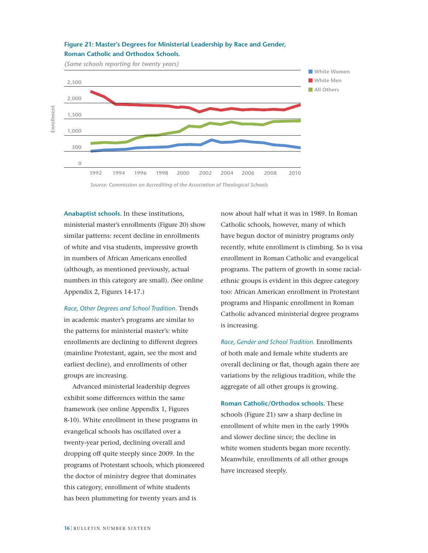

### **Figure 21: Master's Degrees for Ministerial Leadership by Race and Gender, Roman Catholic and Orthodox Schools.**

**Anabaptist schools.** In these institutions, ministerial master's enrollments (Figure 20) show similar patterns: recent decline in enrollments of white and visa students, impressive growth in numbers of African Americans enrolled (although, as mentioned previously, actual numbers in this category are small). (See online

*Race, Other Degrees and School Tradition.* Trends in academic master's programs are similar to the patterns for ministerial master's: white enrollments are declining to different degrees (mainline Protestant, again, see the most and earliest decline), and enrollments of other groups are increasing.

Appendix 2, Figures 14-17.)

Advanced ministerial leadership degrees exhibit some differences within the same framework (see online Appendix 1, Figures 8-10). White enrollment in these programs in evangelical schools has oscillated over a twenty-year period, declining overall and dropping off quite steeply since 2009. In the programs of Protestant schools, which pioneered the doctor of ministry degree that dominates this category, enrollment of white students has been plummeting for twenty years and is

now about half what it was in 1989. In Roman Catholic schools, however, many of which have begun doctor of ministry programs only recently, white enrollment is climbing. So is visa enrollment in Roman Catholic and evangelical programs. The pattern of growth in some racialethnic groups is evident in this degree category too: African American enrollment in Protestant programs and Hispanic enrollment in Roman Catholic advanced ministerial degree programs is increasing.

*Race, Gender and School Tradition.* Enrollments of both male and female white students are overall declining or flat, though again there are variations by the religious tradition, while the aggregate of all other groups is growing.

**Roman Catholic/Orthodox schools.** These schools (Figure 21) saw a sharp decline in enrollment of white men in the early 1990s and slower decline since; the decline in white women students began more recently. Meanwhile, enrollments of all other groups have increased steeply.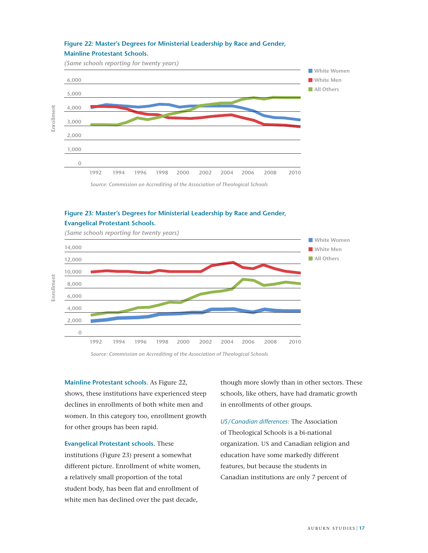### **Figure 22: Master's Degrees for Ministerial Leadership by Race and Gender, Mainline Protestant Schools.**

*(Same schools reporting for twenty years)*

**Enrollment**

**Enrollment**Enrollment



### **Figure 23: Master's Degrees for Ministerial Leadership by Race and Gender, Evangelical Protestant Schools.**



*(Same schools reporting for twenty years)*

*Source: Commission on Accrediting of the Association of Theological Schools*

**Mainline Protestant schools.** As Figure 22, shows, these institutions have experienced steep declines in enrollments of both white men and women. In this category too, enrollment growth for other groups has been rapid.

**Evangelical Protestant schools.** These institutions (Figure 23) present a somewhat different picture. Enrollment of white women, a relatively small proportion of the total student body, has been flat and enrollment of white men has declined over the past decade,

though more slowly than in other sectors. These schools, like others, have had dramatic growth in enrollments of other groups.

*US/Canadian di!erences:* The Association of Theological Schools is a bi-national organization. US and Canadian religion and education have some markedly different features, but because the students in Canadian institutions are only 7 percent of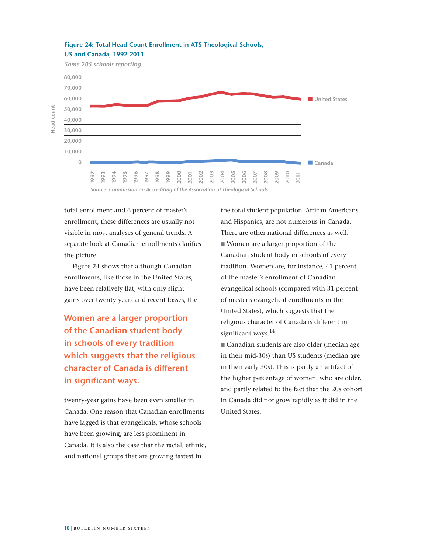### **Figure 24: Total Head Count Enrollment in ATS Theological Schools, US and Canada, 1992-2011.**

*Same 205 schools reporting.*



*Source: Commission on Accrediting of the Association of Theological Schools*

total enrollment and 6 percent of master's enrollment, these differences are usually not visible in most analyses of general trends. A separate look at Canadian enrollments clarifies the picture.

Figure 24 shows that although Canadian enrollments, like those in the United States, have been relatively flat, with only slight gains over twenty years and recent losses, the

**Women are a larger proportion of the Canadian student body in schools of every tradition which suggests that the religious character of Canada is different in significant ways.**

twenty-year gains have been even smaller in Canada. One reason that Canadian enrollments have lagged is that evangelicals, whose schools have been growing, are less prominent in Canada. It is also the case that the racial, ethnic, and national groups that are growing fastest in

the total student population, African Americans and Hispanics, are not numerous in Canada. There are other national differences as well. Women are a larger proportion of the Canadian student body in schools of every tradition. Women are, for instance, 41 percent of the master's enrollment of Canadian evangelical schools (compared with 31 percent of master's evangelical enrollments in the United States), which suggests that the religious character of Canada is different in significant ways.<sup>14</sup>

Canadian students are also older (median age in their mid-30s) than US students (median age in their early 30s). This is partly an artifact of the higher percentage of women, who are older, and partly related to the fact that the 20s cohort in Canada did not grow rapidly as it did in the United States.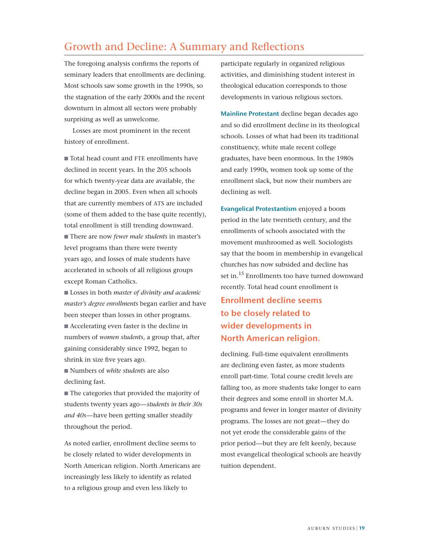# Growth and Decline: A Summary and Reflections

The foregoing analysis confirms the reports of seminary leaders that enrollments are declining. Most schools saw some growth in the 1990s, so the stagnation of the early 2000s and the recent downturn in almost all sectors were probably surprising as well as unwelcome.

Losses are most prominent in the recent history of enrollment.

Total head count and FTE enrollments have declined in recent years. In the 205 schools for which twenty-year data are available, the decline began in 2005. Even when all schools that are currently members of ATS are included (some of them added to the base quite recently), total enrollment is still trending downward. ■ There are now *fewer male students* in master's level programs than there were twenty years ago, and losses of male students have accelerated in schools of all religious groups except Roman Catholics.

■ Losses in both *master of divinity and academic master's degree enrollments* began earlier and have been steeper than losses in other programs.

 $\blacksquare$  Accelerating even faster is the decline in numbers of *women students*, a group that, after gaining considerably since 1992, began to shrink in size five years ago.

■ Numbers of *white students* are also declining fast.

 $\blacksquare$  The categories that provided the majority of students twenty years ago—*students in their 30s and 40s*—have been getting smaller steadily throughout the period.

As noted earlier, enrollment decline seems to be closely related to wider developments in North American religion. North Americans are increasingly less likely to identify as related to a religious group and even less likely to

participate regularly in organized religious activities, and diminishing student interest in theological education corresponds to those developments in various religious sectors.

**Mainline Protestant** decline began decades ago and so did enrollment decline in its theological schools. Losses of what had been its traditional constituency, white male recent college graduates, have been enormous. In the 1980s and early 1990s, women took up some of the enrollment slack, but now their numbers are declining as well.

**Evangelical Protestantism** enjoyed a boom period in the late twentieth century, and the enrollments of schools associated with the movement mushroomed as well. Sociologists say that the boom in membership in evangelical churches has now subsided and decline has set in.<sup>15</sup> Enrollments too have turned downward recently. Total head count enrollment is

**Enrollment decline seems to be closely related to wider developments in North American religion.**

declining. Full-time equivalent enrollments are declining even faster, as more students enroll part-time. Total course credit levels are falling too, as more students take longer to earn their degrees and some enroll in shorter M.A. programs and fewer in longer master of divinity programs. The losses are not great—they do not yet erode the considerable gains of the prior period—but they are felt keenly, because most evangelical theological schools are heavily tuition dependent.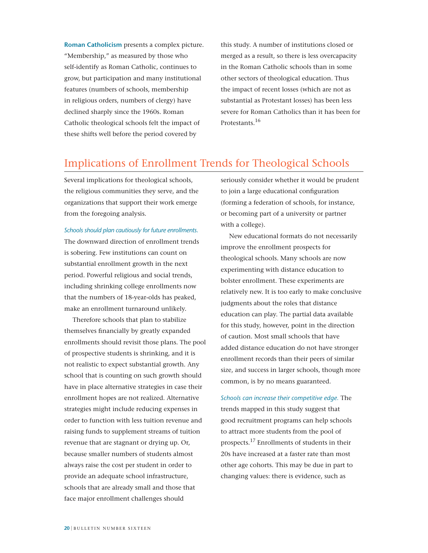**Roman Catholicism** presents a complex picture. "Membership," as measured by those who self-identify as Roman Catholic, continues to grow, but participation and many institutional features (numbers of schools, membership in religious orders, numbers of clergy) have declined sharply since the 1960s. Roman Catholic theological schools felt the impact of these shifts well before the period covered by

this study. A number of institutions closed or merged as a result, so there is less overcapacity in the Roman Catholic schools than in some other sectors of theological education. Thus the impact of recent losses (which are not as substantial as Protestant losses) has been less severe for Roman Catholics than it has been for Protestants.<sup>16</sup>

# Implications of Enrollment Trends for Theological Schools

Several implications for theological schools, the religious communities they serve, and the organizations that support their work emerge from the foregoing analysis.

*Schools should plan cautiously for future enrollments.*

The downward direction of enrollment trends is sobering. Few institutions can count on substantial enrollment growth in the next period. Powerful religious and social trends, including shrinking college enrollments now that the numbers of 18-year-olds has peaked, make an enrollment turnaround unlikely.

Therefore schools that plan to stabilize themselves financially by greatly expanded enrollments should revisit those plans. The pool of prospective students is shrinking, and it is not realistic to expect substantial growth. Any school that is counting on such growth should have in place alternative strategies in case their enrollment hopes are not realized. Alternative strategies might include reducing expenses in order to function with less tuition revenue and raising funds to supplement streams of tuition revenue that are stagnant or drying up. Or, because smaller numbers of students almost always raise the cost per student in order to provide an adequate school infrastructure, schools that are already small and those that face major enrollment challenges should

seriously consider whether it would be prudent to join a large educational configuration (forming a federation of schools, for instance, or becoming part of a university or partner with a college).

New educational formats do not necessarily improve the enrollment prospects for theological schools. Many schools are now experimenting with distance education to bolster enrollment. These experiments are relatively new. It is too early to make conclusive judgments about the roles that distance education can play. The partial data available for this study, however, point in the direction of caution. Most small schools that have added distance education do not have stronger enrollment records than their peers of similar size, and success in larger schools, though more common, is by no means guaranteed.

*Schools can increase their competitive edge.* The trends mapped in this study suggest that good recruitment programs can help schools to attract more students from the pool of prospects.17 Enrollments of students in their 20s have increased at a faster rate than most other age cohorts. This may be due in part to changing values: there is evidence, such as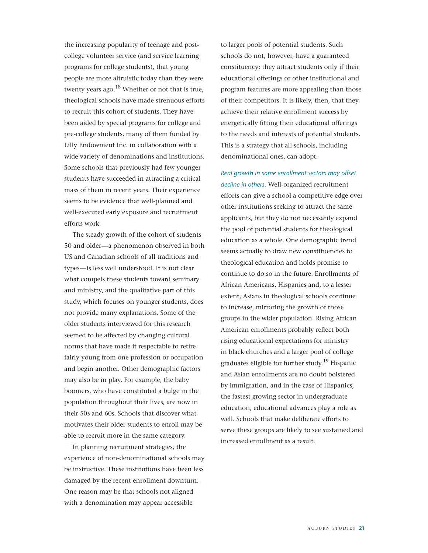the increasing popularity of teenage and postcollege volunteer service (and service learning programs for college students), that young people are more altruistic today than they were twenty years ago. $^{18}$  Whether or not that is true, theological schools have made strenuous efforts to recruit this cohort of students. They have been aided by special programs for college and pre-college students, many of them funded by Lilly Endowment Inc. in collaboration with a wide variety of denominations and institutions. Some schools that previously had few younger students have succeeded in attracting a critical mass of them in recent years. Their experience seems to be evidence that well-planned and well-executed early exposure and recruitment efforts work.

The steady growth of the cohort of students 50 and older—a phenomenon observed in both US and Canadian schools of all traditions and types—is less well understood. It is not clear what compels these students toward seminary and ministry, and the qualitative part of this study, which focuses on younger students, does not provide many explanations. Some of the older students interviewed for this research seemed to be affected by changing cultural norms that have made it respectable to retire fairly young from one profession or occupation and begin another. Other demographic factors may also be in play. For example, the baby boomers, who have constituted a bulge in the population throughout their lives, are now in their 50s and 60s. Schools that discover what motivates their older students to enroll may be able to recruit more in the same category.

In planning recruitment strategies, the experience of non-denominational schools may be instructive. These institutions have been less damaged by the recent enrollment downturn. One reason may be that schools not aligned with a denomination may appear accessible

to larger pools of potential students. Such schools do not, however, have a guaranteed constituency: they attract students only if their educational offerings or other institutional and program features are more appealing than those of their competitors. It is likely, then, that they achieve their relative enrollment success by energetically fitting their educational offerings to the needs and interests of potential students. This is a strategy that all schools, including denominational ones, can adopt.

*Real growth in some enrollment sectors may offset decline in others.* Well-organized recruitment efforts can give a school a competitive edge over other institutions seeking to attract the same applicants, but they do not necessarily expand the pool of potential students for theological education as a whole. One demographic trend seems actually to draw new constituencies to theological education and holds promise to continue to do so in the future. Enrollments of African Americans, Hispanics and, to a lesser extent, Asians in theological schools continue to increase, mirroring the growth of those groups in the wider population. Rising African American enrollments probably reflect both rising educational expectations for ministry in black churches and a larger pool of college graduates eligible for further study.<sup>19</sup> Hispanic and Asian enrollments are no doubt bolstered by immigration, and in the case of Hispanics, the fastest growing sector in undergraduate education, educational advances play a role as well. Schools that make deliberate efforts to serve these groups are likely to see sustained and increased enrollment as a result.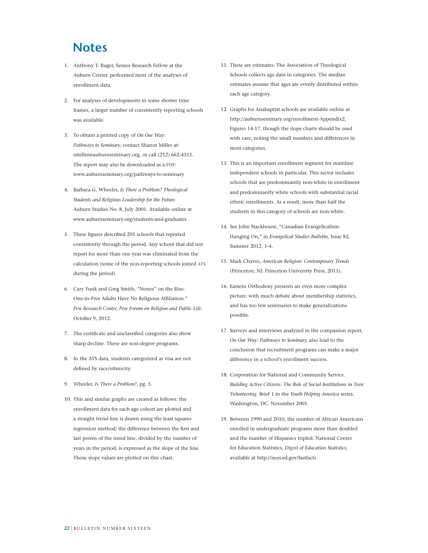# **Notes**

- 1. Anthony T. Ruger, Senior Research Fellow at the Auburn Center, performed most of the analyses of enrollment data.
- 2. For analyses of developments in some shorter time frames, a larger number of consistently reporting schools was available.
- 3. To obtain a printed copy of *On Our Way: Pathways to Seminary,* contact Sharon Miller at: smiller@auburnseminary.org, or call (212) 662-4315. The report may also be downloaded as a PDF: www.auburnseminary.org/pathways-to-seminary
- 4. Barbara G. Wheeler, *Is There a Problem? Theological Students and Religious Leadership for the Future.*  Auburn Studies No. 8, July 2001. Available online at www.auburnseminary.org/students-and-graduates
- 5. These figures described 205 schools that reported consistently through the period. Any school that did not report for more than one year was eliminated from the calculation (some of the non-reporting schools joined ATS during the period).
- 6. Cary Funk and Greg Smith, "Nones" on the Rise: One-in-Five Adults Have No Religious Affiliation." *Pew Research Center, Pew Forum on Religion and Public Life.* October 9, 2012.
- 7. The certificate and unclassified categories also show sharp decline. These are non-degree programs.
- 8. In the ATS data, students categorized as visa are not defined by race/ethnicity.
- 9. Wheeler, *Is There a Problem?,* pg. 5.
- 10. This and similar graphs are created as follows: the enrollment data for each age cohort are plotted and a straight trend line is drawn using the least squares regression method; the difference between the first and last points of the trend line, divided by the number of years in the period, is expressed as the slope of the line. Those slope values are plotted on this chart.
- 11. These are estimates. The Association of Theological Schools collects age data in categories. The median estimates assume that ages are evenly distributed within each age category.
- 12. Graphs for Anabaptist schools are available online at http://auburnseminary.org/enrollment-Appendix2, Figures 14-17, though the slope charts should be used with care, noting the small numbers and differences in most categories.
- 13. This is an important enrollment segment for mainline independent schools in particular. This sector includes schools that are predominantly non-white in enrollment and predominantly white schools with substantial racial ethnic enrollments. As a result, more than half the students in this category of schools are non-white.
- 14. See John Stackhouse, "Canadian Evangelicalism: Hanging On," in *Evangelical Studies Bulletin,* Issue 82, Summer 2012, 1-4.
- 15. Mark Chaves, *American Religion: Contemporary Trends* (Princeton, NJ: Princeton University Press, 2011).
- 16. Eastern Orthodoxy presents an even more complex picture, with much debate about membership statistics, and has too few seminaries to make generalizations possible.
- 17. Surveys and interviews analyzed in the companion report, *On Our Way: Pathways to Seminary,* also lead to the conclusion that recruitment programs can make a major difference in a school's enrollment success.
- 18. Corporation for National and Community Service. *Building Active Citizens: The Role of Social Institutions in Teen Volunteering.* Brief 1 in the *Youth Helping America* series. Washington, DC. November 2005.
- 19. Between 1990 and 2010, the number of African Americans enrolled in undergraduate programs more than doubled and the number of Hispanics tripled. National Center for Education Statistics, *Digest of Education Statistics,*  available at http://nces.ed.gov/fastfacts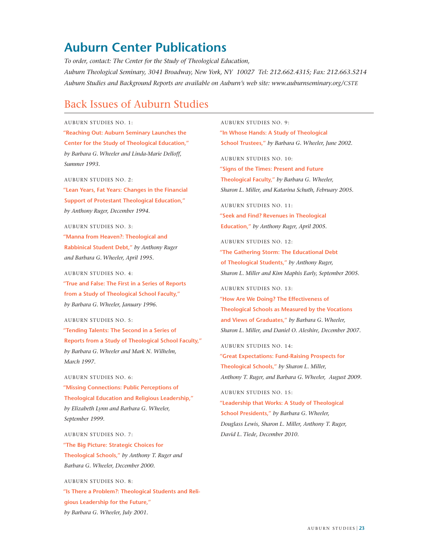# **Auburn Center Publications**

*To order, contact: The Center for the Study of Theological Education, Auburn Theological Seminary, 3041 Broadway, New York, NY 10027 Tel: 212.662.4315; Fax: 212.663.5214 Auburn Studies and Background Reports are available on Auburn's web site: www.auburnseminary.org/CSTE*

# Back Issues of Auburn Studies

### AUBURN STUDIES NO. 1:

 **"Reaching Out: Auburn Seminary Launches the Center for the Study of Theological Education,"**  *by Barbara G. Wheeler and Linda-Marie Delloff, Summer 1993.*

### AUBURN STUDIES NO. 2:

 **"Lean Years, Fat Years: Changes in the Financial Support of Protestant Theological Education,"**  *by Anthony Ruger, December 1994.*

### AUBURN STUDIES NO. 3:

 **"Manna from Heaven?: Theological and Rabbinical Student Debt,"** *by Anthony Ruger and Barbara G. Wheeler, April 1995.*

### AUBURN STUDIES NO. 4:

 **"True and False: The First in a Series of Reports from a Study of Theological School Faculty,"** *by Barbara G. Wheeler, January 1996.*

### AUBURN STUDIES NO. 5:

 **"Tending Talents: The Second in a Series of Reports from a Study of Theological School Faculty,"** *by Barbara G. Wheeler and Mark N. Wilhelm, March 1997.*

### AUBURN STUDIES NO. 6:

 **"Missing Connections: Public Perceptions of Theological Education and Religious Leadership,"** *by Elizabeth Lynn and Barbara G. Wheeler, September 1999.*

### AUBURN STUDIES NO. 7:

 **"The Big Picture: Strategic Choices for Theological Schools,"** *by Anthony T. Ruger and Barbara G. Wheeler, December 2000.*

AUBURN STUDIES NO. 8: **"Is There a Problem?: Theological Students and Religious Leadership for the Future,"** *by Barbara G. Wheeler, July 2001.*

AUBURN STUDIES NO. 9:  **"In Whose Hands: A Study of Theological School Trustees,"** *by Barbara G. Wheeler, June 2002.*

AUBURN STUDIES NO. 10:

 **"Signs of the Times: Present and Future Theological Faculty,"** *by Barbara G. Wheeler, Sharon L. Miller, and Katarina Schuth, February 2005.*

AUBURN STUDIES NO. 11:  **"Seek and Find? Revenues in Theological Education,"** *by Anthony Ruger, April 2005.*

AUBURN STUDIES NO. 12:  **"The Gathering Storm: The Educational Debt of Theological Students,"** *by Anthony Ruger, Sharon L. Miller and Kim Maphis Early, September 2005.*

AUBURN STUDIES NO. 13: **"How Are We Doing? The Effectiveness of Theological Schools as Measured by the Vocations and Views of Graduates,"** *by Barbara G. Wheeler, Sharon L. Miller, and Daniel O. Aleshire, December 2007.*

AUBURN STUDIES NO. 14:  **"Great Expectations: Fund-Raising Prospects for Theological Schools,"** *by Sharon L. Miller, Anthony T. Ruger, and Barbara G. Wheeler, August 2009.*

AUBURN STUDIES NO. 15:  **"Leadership that Works: A Study of Theological School Presidents,"** *by Barbara G. Wheeler, Douglass Lewis, Sharon L. Miller, Anthony T. Ruger, David L. Tiede, December 2010.*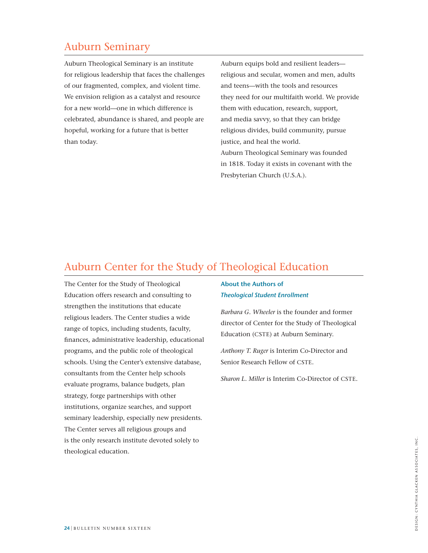# Auburn Seminary

Auburn Theological Seminary is an institute for religious leadership that faces the challenges of our fragmented, complex, and violent time. We envision religion as a catalyst and resource for a new world—one in which difference is celebrated, abundance is shared, and people are hopeful, working for a future that is better than today.

Auburn equips bold and resilient leaders religious and secular, women and men, adults and teens—with the tools and resources they need for our multifaith world. We provide them with education, research, support, and media savvy, so that they can bridge religious divides, build community, pursue justice, and heal the world. Auburn Theological Seminary was founded in 1818. Today it exists in covenant with the Presbyterian Church (U.S.A.).

# Auburn Center for the Study of Theological Education

The Center for the Study of Theological Education offers research and consulting to strengthen the institutions that educate religious leaders. The Center studies a wide range of topics, including students, faculty, finances, administrative leadership, educational programs, and the public role of theological schools. Using the Center's extensive database, consultants from the Center help schools evaluate programs, balance budgets, plan strategy, forge partnerships with other institutions, organize searches, and support seminary leadership, especially new presidents. The Center serves all religious groups and is the only research institute devoted solely to theological education.

### **About the Authors of**  *Theological Student Enrollment*

*Barbara G. Wheeler* is the founder and former director of Center for the Study of Theological Education (CSTE) at Auburn Seminary.

*Anthony T. Ruger* is Interim Co-Director and Senior Research Fellow of CSTE.

*Sharon L. Miller* is Interim Co-Director of CSTE.